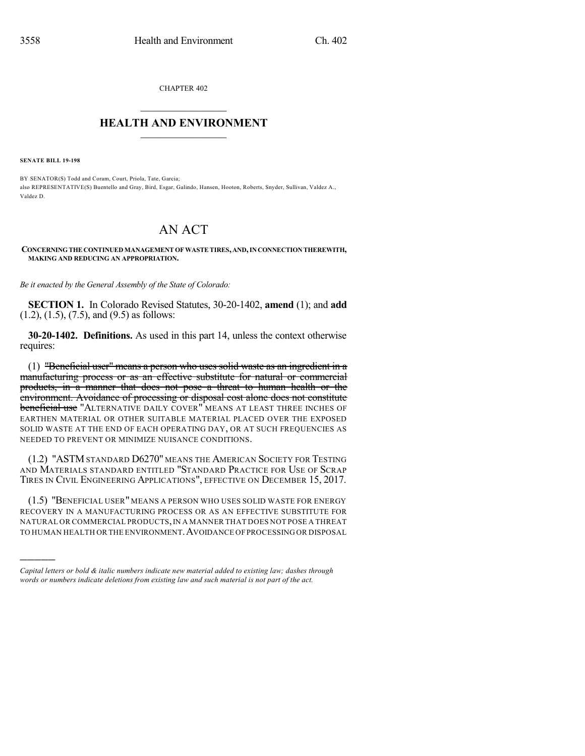CHAPTER 402

## $\mathcal{L}_\text{max}$  . The set of the set of the set of the set of the set of the set of the set of the set of the set of the set of the set of the set of the set of the set of the set of the set of the set of the set of the set **HEALTH AND ENVIRONMENT**  $\_$

**SENATE BILL 19-198**

)))))

BY SENATOR(S) Todd and Coram, Court, Priola, Tate, Garcia; also REPRESENTATIVE(S) Buentello and Gray, Bird, Esgar, Galindo, Hansen, Hooton, Roberts, Snyder, Sullivan, Valdez A., Valdez D.

## AN ACT

**CONCERNINGTHE CONTINUEDMANAGEMENT OFWASTETIRES,AND,INCONNECTIONTHEREWITH, MAKING AND REDUCING AN APPROPRIATION.**

*Be it enacted by the General Assembly of the State of Colorado:*

**SECTION 1.** In Colorado Revised Statutes, 30-20-1402, **amend** (1); and **add** (1.2), (1.5), (7.5), and (9.5) as follows:

**30-20-1402. Definitions.** As used in this part 14, unless the context otherwise requires:

(1) "Beneficial user" means a person who uses solid waste as an ingredient in a manufacturing process or as an effective substitute for natural or commercial products, in a manner that does not pose a threat to human health or the environment. Avoidance of processing or disposal cost alone does not constitute **beneficial use** "ALTERNATIVE DAILY COVER" MEANS AT LEAST THREE INCHES OF EARTHEN MATERIAL OR OTHER SUITABLE MATERIAL PLACED OVER THE EXPOSED SOLID WASTE AT THE END OF EACH OPERATING DAY, OR AT SUCH FREQUENCIES AS NEEDED TO PREVENT OR MINIMIZE NUISANCE CONDITIONS.

(1.2) "ASTM STANDARD D6270" MEANS THE AMERICAN SOCIETY FOR TESTING AND MATERIALS STANDARD ENTITLED "STANDARD PRACTICE FOR USE OF SCRAP TIRES IN CIVIL ENGINEERING APPLICATIONS", EFFECTIVE ON DECEMBER 15, 2017.

(1.5) "BENEFICIAL USER" MEANS A PERSON WHO USES SOLID WASTE FOR ENERGY RECOVERY IN A MANUFACTURING PROCESS OR AS AN EFFECTIVE SUBSTITUTE FOR NATURAL OR COMMERCIAL PRODUCTS,IN A MANNER THAT DOES NOT POSE A THREAT TO HUMAN HEALTH OR THE ENVIRONMENT.AVOIDANCE OFPROCESSING OR DISPOSAL

*Capital letters or bold & italic numbers indicate new material added to existing law; dashes through words or numbers indicate deletions from existing law and such material is not part of the act.*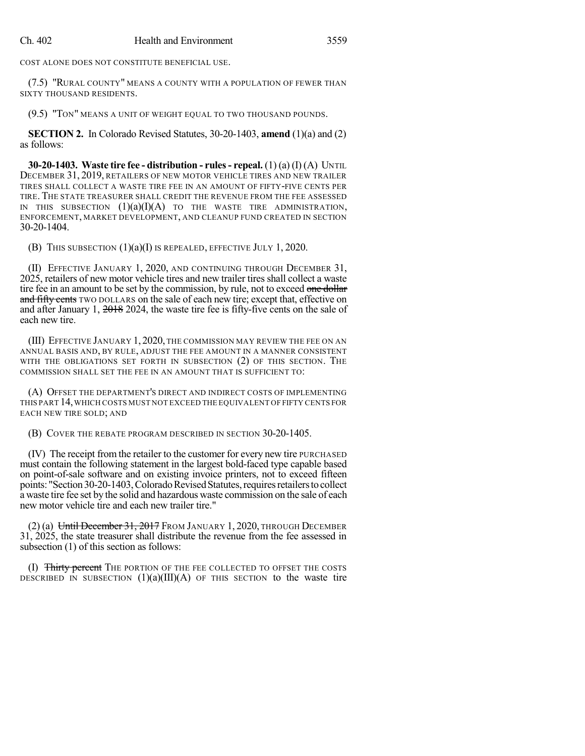COST ALONE DOES NOT CONSTITUTE BENEFICIAL USE.

(7.5) "RURAL COUNTY" MEANS A COUNTY WITH A POPULATION OF FEWER THAN SIXTY THOUSAND RESIDENTS.

(9.5) "TON" MEANS A UNIT OF WEIGHT EQUAL TO TWO THOUSAND POUNDS.

**SECTION 2.** In Colorado Revised Statutes, 30-20-1403, **amend** (1)(a) and (2) as follows:

**30-20-1403. Waste tire fee - distribution - rules- repeal.** (1) (a) (I) (A) UNTIL DECEMBER 31, 2019, RETAILERS OF NEW MOTOR VEHICLE TIRES AND NEW TRAILER TIRES SHALL COLLECT A WASTE TIRE FEE IN AN AMOUNT OF FIFTY-FIVE CENTS PER TIRE. THE STATE TREASURER SHALL CREDIT THE REVENUE FROM THE FEE ASSESSED IN THIS SUBSECTION  $(1)(a)(I)(A)$  to the waste tire administration, ENFORCEMENT, MARKET DEVELOPMENT, AND CLEANUP FUND CREATED IN SECTION 30-20-1404.

(B) THIS SUBSECTION (1)(a)(I) IS REPEALED, EFFECTIVE JULY 1, 2020.

(II) EFFECTIVE JANUARY 1, 2020, AND CONTINUING THROUGH DECEMBER 31, 2025, retailers of new motor vehicle tires and new trailer tires shall collect a waste tire fee in an amount to be set by the commission, by rule, not to exceed one dollar and fifty cents TWO DOLLARS on the sale of each new tire; except that, effective on and after January 1, 2018 2024, the waste tire fee is fifty-five cents on the sale of each new tire.

(III) EFFECTIVE JANUARY 1, 2020, THE COMMISSION MAY REVIEW THE FEE ON AN ANNUAL BASIS AND, BY RULE, ADJUST THE FEE AMOUNT IN A MANNER CONSISTENT WITH THE OBLIGATIONS SET FORTH IN SUBSECTION (2) OF THIS SECTION. THE COMMISSION SHALL SET THE FEE IN AN AMOUNT THAT IS SUFFICIENT TO:

(A) OFFSET THE DEPARTMENT'S DIRECT AND INDIRECT COSTS OF IMPLEMENTING THIS PART 14,WHICH COSTS MUST NOT EXCEED THE EQUIVALENT OF FIFTY CENTS FOR EACH NEW TIRE SOLD; AND

(B) COVER THE REBATE PROGRAM DESCRIBED IN SECTION 30-20-1405.

(IV) The receipt from the retailer to the customer for every new tire PURCHASED must contain the following statement in the largest bold-faced type capable based on point-of-sale software and on existing invoice printers, not to exceed fifteen points: "Section 30-20-1403, Colorado Revised Statutes, requires retailers to collect a waste tire fee set by the solid and hazardous waste commission on the sale of each new motor vehicle tire and each new trailer tire."

(2) (a) Until December 31, 2017 FROM JANUARY 1, 2020, THROUGH DECEMBER 31, 2025, the state treasurer shall distribute the revenue from the fee assessed in subsection (1) of this section as follows:

(I) Thirty percent THE PORTION OF THE FEE COLLECTED TO OFFSET THE COSTS DESCRIBED IN SUBSECTION  $(1)(a)(III)(A)$  OF THIS SECTION to the waste tire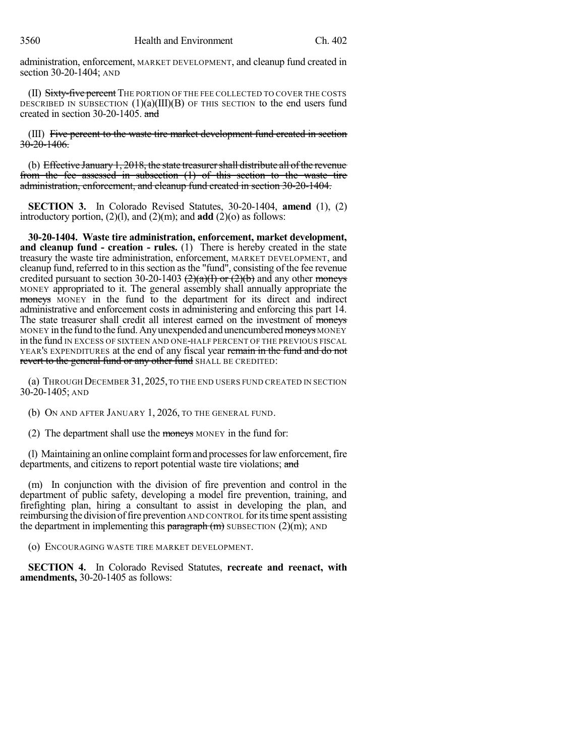administration, enforcement, MARKET DEVELOPMENT, and cleanup fund created in section 30-20-1404; AND

(II) Sixty-five percent The portion of the fee collected to cover the costs DESCRIBED IN SUBSECTION  $(1)(a)(III)(B)$  OF THIS SECTION to the end users fund created in section 30-20-1405. and

(III) Five percent to the waste tire market development fund created in section 30-20-1406.

(b) Effective January  $1, 2018$ , the state treasurer shall distribute all of the revenue from the fee assessed in subsection (1) of this section to the waste tire administration, enforcement, and cleanup fund created in section 30-20-1404.

**SECTION 3.** In Colorado Revised Statutes, 30-20-1404, **amend** (1), (2) introductory portion, (2)(l), and (2)(m); and **add** (2)(o) as follows:

**30-20-1404. Waste tire administration, enforcement, market development, and cleanup fund - creation - rules.** (1) There is hereby created in the state treasury the waste tire administration, enforcement, MARKET DEVELOPMENT, and cleanup fund, referred to in this section as the "fund", consisting of the fee revenue credited pursuant to section 30-20-1403  $(2)(a)(1)$  or  $(2)(b)$  and any other moneys MONEY appropriated to it. The general assembly shall annually appropriate the moneys MONEY in the fund to the department for its direct and indirect administrative and enforcement costs in administering and enforcing this part 14. The state treasurer shall credit all interest earned on the investment of moneys MONEY in the fund to the fund. Any unexpended and unencumbered moneys MONEY in the fund IN EXCESS OF SIXTEEN AND ONE-HALF PERCENT OF THE PREVIOUS FISCAL YEAR'S EXPENDITURES at the end of any fiscal year remain in the fund and do not revert to the general fund or any other fund SHALL BE CREDITED:

(a) THROUGH DECEMBER 31,2025,TO THE END USERS FUND CREATED IN SECTION 30-20-1405; AND

(b) ON AND AFTER JANUARY 1, 2026, TO THE GENERAL FUND.

(2) The department shall use the moneys MONEY in the fund for:

(I) Maintaining an online complaint form and processes for law enforcement, fire departments, and citizens to report potential waste tire violations; and

(m) In conjunction with the division of fire prevention and control in the department of public safety, developing a model fire prevention, training, and firefighting plan, hiring a consultant to assist in developing the plan, and reimbursing the division offire prevention AND CONTROL foritstime spent assisting the department in implementing this paragraph  $(m)$  SUBSECTION  $(2)(m)$ ; AND

(o) ENCOURAGING WASTE TIRE MARKET DEVELOPMENT.

**SECTION 4.** In Colorado Revised Statutes, **recreate and reenact, with amendments,** 30-20-1405 as follows: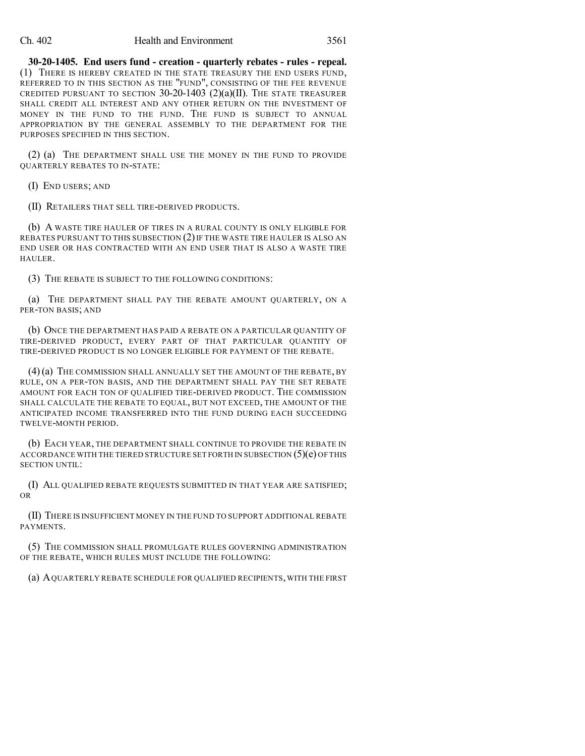## Ch. 402 Health and Environment 3561

**30-20-1405. End users fund - creation - quarterly rebates - rules - repeal.** (1) THERE IS HEREBY CREATED IN THE STATE TREASURY THE END USERS FUND, REFERRED TO IN THIS SECTION AS THE "FUND", CONSISTING OF THE FEE REVENUE CREDITED PURSUANT TO SECTION  $30-20-1403$   $(2)(a)(II)$ . The state treasurer SHALL CREDIT ALL INTEREST AND ANY OTHER RETURN ON THE INVESTMENT OF MONEY IN THE FUND TO THE FUND. THE FUND IS SUBJECT TO ANNUAL APPROPRIATION BY THE GENERAL ASSEMBLY TO THE DEPARTMENT FOR THE PURPOSES SPECIFIED IN THIS SECTION.

(2) (a) THE DEPARTMENT SHALL USE THE MONEY IN THE FUND TO PROVIDE QUARTERLY REBATES TO IN-STATE:

(I) END USERS; AND

(II) RETAILERS THAT SELL TIRE-DERIVED PRODUCTS.

(b) A WASTE TIRE HAULER OF TIRES IN A RURAL COUNTY IS ONLY ELIGIBLE FOR REBATES PURSUANT TO THIS SUBSECTION (2) IF THE WASTE TIRE HAULER IS ALSO AN END USER OR HAS CONTRACTED WITH AN END USER THAT IS ALSO A WASTE TIRE HAULER.

(3) THE REBATE IS SUBJECT TO THE FOLLOWING CONDITIONS:

(a) THE DEPARTMENT SHALL PAY THE REBATE AMOUNT QUARTERLY, ON A PER-TON BASIS; AND

(b) ONCE THE DEPARTMENT HAS PAID A REBATE ON A PARTICULAR QUANTITY OF TIRE-DERIVED PRODUCT, EVERY PART OF THAT PARTICULAR QUANTITY OF TIRE-DERIVED PRODUCT IS NO LONGER ELIGIBLE FOR PAYMENT OF THE REBATE.

(4)(a) THE COMMISSION SHALL ANNUALLY SET THE AMOUNT OF THE REBATE, BY RULE, ON A PER-TON BASIS, AND THE DEPARTMENT SHALL PAY THE SET REBATE AMOUNT FOR EACH TON OF QUALIFIED TIRE-DERIVED PRODUCT. THE COMMISSION SHALL CALCULATE THE REBATE TO EQUAL, BUT NOT EXCEED, THE AMOUNT OF THE ANTICIPATED INCOME TRANSFERRED INTO THE FUND DURING EACH SUCCEEDING TWELVE-MONTH PERIOD.

(b) EACH YEAR, THE DEPARTMENT SHALL CONTINUE TO PROVIDE THE REBATE IN ACCORDANCE WITH THE TIERED STRUCTURE SET FORTH IN SUBSECTION  $(5)(e)$  OF THIS SECTION UNTIL:

(I) ALL QUALIFIED REBATE REQUESTS SUBMITTED IN THAT YEAR ARE SATISFIED; OR

(II) THERE IS INSUFFICIENT MONEY IN THE FUND TO SUPPORT ADDITIONAL REBATE PAYMENTS.

(5) THE COMMISSION SHALL PROMULGATE RULES GOVERNING ADMINISTRATION OF THE REBATE, WHICH RULES MUST INCLUDE THE FOLLOWING:

(a) AQUARTERLY REBATE SCHEDULE FOR QUALIFIED RECIPIENTS, WITH THE FIRST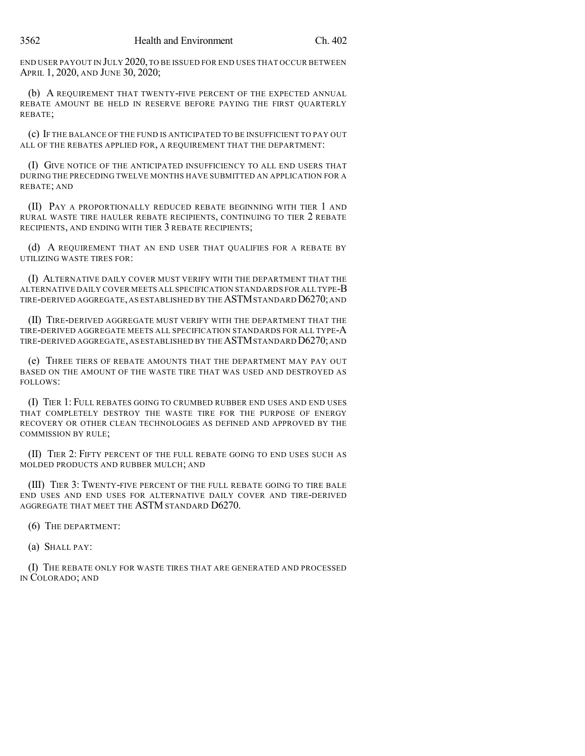END USER PAYOUT IN JULY 2020, TO BE ISSUED FOR END USES THAT OCCUR BETWEEN APRIL 1, 2020, AND JUNE 30, 2020;

(b) A REQUIREMENT THAT TWENTY-FIVE PERCENT OF THE EXPECTED ANNUAL REBATE AMOUNT BE HELD IN RESERVE BEFORE PAYING THE FIRST QUARTERLY REBATE;

(c) IF THE BALANCE OF THE FUND IS ANTICIPATED TO BE INSUFFICIENT TO PAY OUT ALL OF THE REBATES APPLIED FOR, A REQUIREMENT THAT THE DEPARTMENT:

(I) GIVE NOTICE OF THE ANTICIPATED INSUFFICIENCY TO ALL END USERS THAT DURING THE PRECEDING TWELVE MONTHS HAVE SUBMITTED AN APPLICATION FOR A REBATE; AND

(II) PAY A PROPORTIONALLY REDUCED REBATE BEGINNING WITH TIER 1 AND RURAL WASTE TIRE HAULER REBATE RECIPIENTS, CONTINUING TO TIER 2 REBATE RECIPIENTS, AND ENDING WITH TIER 3 REBATE RECIPIENTS;

(d) A REQUIREMENT THAT AN END USER THAT QUALIFIES FOR A REBATE BY UTILIZING WASTE TIRES FOR:

(I) ALTERNATIVE DAILY COVER MUST VERIFY WITH THE DEPARTMENT THAT THE ALTERNATIVE DAILY COVER MEETS ALL SPECIFICATION STANDARDS FOR ALL TYPE-B TIRE-DERIVED AGGREGATE, AS ESTABLISHED BY THE ASTM STANDARD D6270; AND

(II) TIRE-DERIVED AGGREGATE MUST VERIFY WITH THE DEPARTMENT THAT THE TIRE-DERIVED AGGREGATE MEETS ALL SPECIFICATION STANDARDS FOR ALL TYPE-A TIRE-DERIVED AGGREGATE, AS ESTABLISHED BY THE ASTMSTANDARD D6270; AND

(e) THREE TIERS OF REBATE AMOUNTS THAT THE DEPARTMENT MAY PAY OUT BASED ON THE AMOUNT OF THE WASTE TIRE THAT WAS USED AND DESTROYED AS FOLLOWS:

(I) TIER 1: FULL REBATES GOING TO CRUMBED RUBBER END USES AND END USES THAT COMPLETELY DESTROY THE WASTE TIRE FOR THE PURPOSE OF ENERGY RECOVERY OR OTHER CLEAN TECHNOLOGIES AS DEFINED AND APPROVED BY THE COMMISSION BY RULE;

(II) TIER 2: FIFTY PERCENT OF THE FULL REBATE GOING TO END USES SUCH AS MOLDED PRODUCTS AND RUBBER MULCH; AND

(III) TIER 3: TWENTY-FIVE PERCENT OF THE FULL REBATE GOING TO TIRE BALE END USES AND END USES FOR ALTERNATIVE DAILY COVER AND TIRE-DERIVED AGGREGATE THAT MEET THE ASTM STANDARD D6270.

(6) THE DEPARTMENT:

(a) SHALL PAY:

(I) THE REBATE ONLY FOR WASTE TIRES THAT ARE GENERATED AND PROCESSED IN COLORADO; AND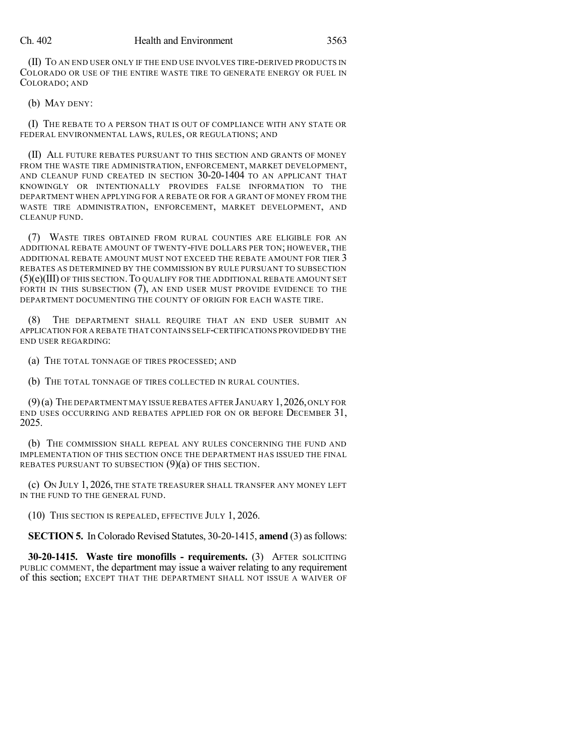## Ch. 402 Health and Environment 3563

(II) TO AN END USER ONLY IF THE END USE INVOLVES TIRE-DERIVED PRODUCTS IN COLORADO OR USE OF THE ENTIRE WASTE TIRE TO GENERATE ENERGY OR FUEL IN COLORADO; AND

(b) MAY DENY:

(I) THE REBATE TO A PERSON THAT IS OUT OF COMPLIANCE WITH ANY STATE OR FEDERAL ENVIRONMENTAL LAWS, RULES, OR REGULATIONS; AND

(II) ALL FUTURE REBATES PURSUANT TO THIS SECTION AND GRANTS OF MONEY FROM THE WASTE TIRE ADMINISTRATION, ENFORCEMENT, MARKET DEVELOPMENT, AND CLEANUP FUND CREATED IN SECTION 30-20-1404 TO AN APPLICANT THAT KNOWINGLY OR INTENTIONALLY PROVIDES FALSE INFORMATION TO THE DEPARTMENT WHEN APPLYING FOR A REBATE OR FOR A GRANT OF MONEY FROM THE WASTE TIRE ADMINISTRATION, ENFORCEMENT, MARKET DEVELOPMENT, AND CLEANUP FUND.

(7) WASTE TIRES OBTAINED FROM RURAL COUNTIES ARE ELIGIBLE FOR AN ADDITIONAL REBATE AMOUNT OF TWENTY-FIVE DOLLARS PER TON; HOWEVER, THE ADDITIONAL REBATE AMOUNT MUST NOT EXCEED THE REBATE AMOUNT FOR TIER 3 REBATES AS DETERMINED BY THE COMMISSION BY RULE PURSUANT TO SUBSECTION (5)(e)(III) OF THIS SECTION.TO QUALIFY FOR THE ADDITIONAL REBATE AMOUNT SET FORTH IN THIS SUBSECTION (7), AN END USER MUST PROVIDE EVIDENCE TO THE DEPARTMENT DOCUMENTING THE COUNTY OF ORIGIN FOR EACH WASTE TIRE.

THE DEPARTMENT SHALL REQUIRE THAT AN END USER SUBMIT AN APPLICATION FOR A REBATE THAT CONTAINS SELF-CERTIFICATIONS PROVIDED BY THE END USER REGARDING:

(a) THE TOTAL TONNAGE OF TIRES PROCESSED; AND

(b) THE TOTAL TONNAGE OF TIRES COLLECTED IN RURAL COUNTIES.

 $(9)$ (a) The DEPARTMENT MAY ISSUE REBATES AFTER JANUARY 1, 2026, ONLY FOR END USES OCCURRING AND REBATES APPLIED FOR ON OR BEFORE DECEMBER 31, 2025.

(b) THE COMMISSION SHALL REPEAL ANY RULES CONCERNING THE FUND AND IMPLEMENTATION OF THIS SECTION ONCE THE DEPARTMENT HAS ISSUED THE FINAL REBATES PURSUANT TO SUBSECTION (9)(a) OF THIS SECTION.

(c) ON JULY 1, 2026, THE STATE TREASURER SHALL TRANSFER ANY MONEY LEFT IN THE FUND TO THE GENERAL FUND.

(10) THIS SECTION IS REPEALED, EFFECTIVE JULY 1, 2026.

**SECTION 5.** In Colorado Revised Statutes, 30-20-1415, **amend** (3) as follows:

**30-20-1415. Waste tire monofills - requirements.** (3) AFTER SOLICITING PUBLIC COMMENT, the department may issue a waiver relating to any requirement of this section; EXCEPT THAT THE DEPARTMENT SHALL NOT ISSUE A WAIVER OF